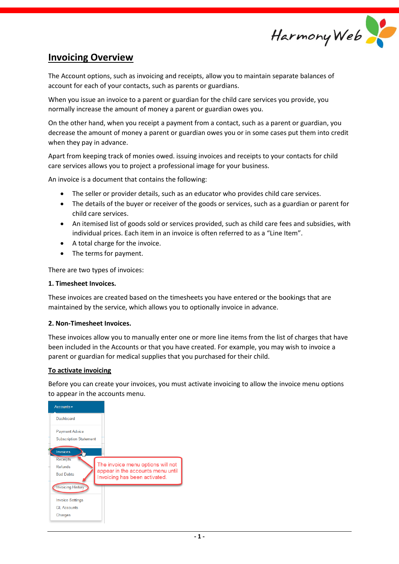

# **Invoicing Overview**

The Account options, such as invoicing and receipts, allow you to maintain separate balances of account for each of your contacts, such as parents or guardians.

When you issue an invoice to a parent or guardian for the child care services you provide, you normally increase the amount of money a parent or guardian owes you.

On the other hand, when you receipt a payment from a contact, such as a parent or guardian, you decrease the amount of money a parent or guardian owes you or in some cases put them into credit when they pay in advance.

Apart from keeping track of monies owed. issuing invoices and receipts to your contacts for child care services allows you to project a professional image for your business.

An invoice is a document that contains the following:

- The seller or provider details, such as an educator who provides child care services.
- The details of the buyer or receiver of the goods or services, such as a guardian or parent for child care services.
- An itemised list of goods sold or services provided, such as child care fees and subsidies, with individual prices. Each item in an invoice is often referred to as a "Line Item".
- A total charge for the invoice.
- The terms for payment.

There are two types of invoices:

#### **1. Timesheet Invoices.**

These invoices are created based on the timesheets you have entered or the bookings that are maintained by the service, which allows you to optionally invoice in advance.

#### **2. Non-Timesheet Invoices.**

These invoices allow you to manually enter one or more line items from the list of charges that have been included in the Accounts or that you have created. For example, you may wish to invoice a parent or guardian for medical supplies that you purchased for their child.

#### **To activate invoicing**

Before you can create your invoices, you must activate invoicing to allow the invoice menu options to appear in the accounts menu.

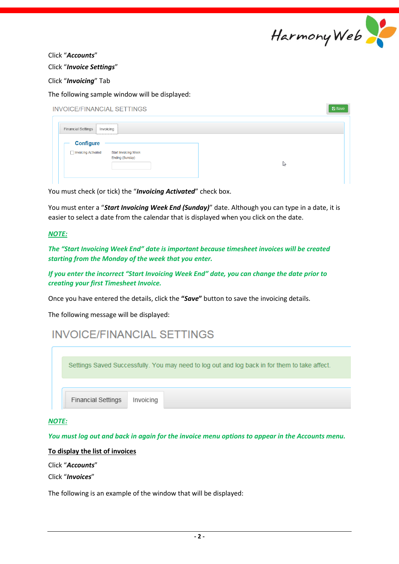

Click "*Accounts*"

Click "*Invoice Settings*"

Click "*Invoicing*" Tab

The following sample window will be displayed:

| <b>INVOICE/FINANCIAL SETTINGS</b>                                                           | <b>A</b> Save |
|---------------------------------------------------------------------------------------------|---------------|
| <b>Financial Settings</b><br>Invoicing                                                      |               |
| <b>Configure</b><br>□ Invoicing Activated<br><b>Start Invoicing Week</b><br>Ending (Sunday) | hr            |

You must check (or tick) the "*Invoicing Activated*" check box.

You must enter a "*Start Invoicing Week End (Sunday)*" date. Although you can type in a date, it is easier to select a date from the calendar that is displayed when you click on the date.

#### *NOTE:*

*The "Start Invoicing Week End" date is important because timesheet invoices will be created starting from the Monday of the week that you enter.*

*If you enter the incorrect "Start Invoicing Week End" date, you can change the date prior to creating your first Timesheet Invoice.*

Once you have entered the details, click the **"***Save***"** button to save the invoicing details.

The following message will be displayed:

# **INVOICE/FINANCIAL SETTINGS**

Settings Saved Successfully. You may need to log out and log back in for them to take affect. **Financial Settings** Invoicing

#### *NOTE:*

*You must log out and back in again for the invoice menu options to appear in the Accounts menu.*

#### **To display the list of invoices**

Click "*Accounts*"

Click "*Invoices*"

The following is an example of the window that will be displayed: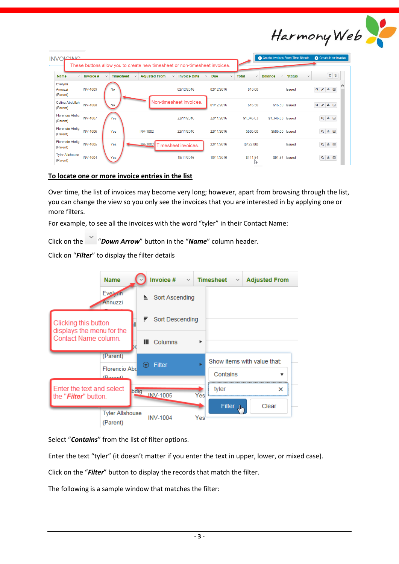

| <b>INVOLCINIC</b>                  |                 |                                  |                                      | These buttons allow you to create new timesheet or non-timesheet invoices. |                                            |                              | Co Create Invoices From Time Sheets |                               | <b>C</b> Create New Invoice |
|------------------------------------|-----------------|----------------------------------|--------------------------------------|----------------------------------------------------------------------------|--------------------------------------------|------------------------------|-------------------------------------|-------------------------------|-----------------------------|
| <b>Name</b><br>$\checkmark$        | Invoice #       | <b>Timesheet</b><br>$\checkmark$ | <b>Adjusted From</b><br>$\checkmark$ | <b>Invoice Date</b><br>$\checkmark$                                        | <b>Due</b><br>$\checkmark$<br>$\checkmark$ | <b>Total</b><br>$\checkmark$ | <b>Balance</b><br>$\checkmark$      | <b>Status</b><br>$\checkmark$ | $\circ$ $\circ$             |
| Evelynn<br>Annuzzi<br>(Parent)     | <b>INV-1009</b> | <b>No</b>                        |                                      | 02/12/2016                                                                 | 02/12/2016                                 | \$10.00                      |                                     | <b>Issued</b>                 | $Q \mid A \mid \pm \mid Q$  |
| Celina Abdullah<br>(Parent)        | <b>INV-1008</b> | No                               |                                      | Non-timesheet invoices.                                                    | 01/12/2016                                 | \$16.50                      | \$16.50 Issued                      |                               | $Q \mid A \mid \pm 1$       |
| <b>Florencio Abdig</b><br>(Parent) | <b>INV-1007</b> | Yes                              |                                      | 22/11/2016                                                                 | 22/11/2016                                 | \$1,346.03                   | \$1,346.03 Issued                   |                               | $Q \triangleq \boxtimes$    |
| <b>Florencio Abdig</b><br>(Parent) | <b>INV-1006</b> | Yes                              | <b>INV-1002</b>                      | 22/11/2016                                                                 | 22/11/2016                                 | \$505.00                     | \$505.00 Issued                     |                               | $Q \triangleq \boxtimes$    |
| <b>Florencio Abdig</b><br>(Parent) | <b>INV-1005</b> | Yes                              |                                      | <b>INV-1002</b> Timesheet invoices.                                        | 22/11/2016                                 | (\$422.00)                   |                                     | <b>Issued</b>                 | $Q \triangleq \boxtimes$    |
| <b>Tyler Allshouse</b><br>(Parent) | <b>INV-1004</b> | Yes                              |                                      | 18/11/2016                                                                 | 18/11/2016                                 | \$111.84<br>Z.               | \$91.84 Issued                      |                               | $Q \triangleq \Box$         |

#### **To locate one or more invoice entries in the list**

Over time, the list of invoices may become very long; however, apart from browsing through the list, you can change the view so you only see the invoices that you are interested in by applying one or more filters.

For example, to see all the invoices with the word "tyler" in their Contact Name:

Click on the "*Down Arrow*" button in the "*Name*" column header.

Click on "*Filter*" to display the filter details

|                                                            | <b>Name</b>                                  |                            | Invoice #<br>$\checkmark$ |     | <b>Timesheet</b><br>$\checkmark$ | <b>Adjusted From</b>             |
|------------------------------------------------------------|----------------------------------------------|----------------------------|---------------------------|-----|----------------------------------|----------------------------------|
|                                                            | Evelyin<br>Annuzzi                           |                            | ≞ Sort Ascending          |     |                                  |                                  |
| Clicking this button<br>displays the menu for the          |                                              | ₹                          | Sort Descending           |     |                                  |                                  |
| Contact Name column.                                       |                                              | ш                          | Columns                   | ▶   |                                  |                                  |
|                                                            | (Parent)<br><b>Florencio Abd</b><br>(Daront) | $\left( \mathbf{r}\right)$ | <b>Filter</b>             | ь   | Contains                         | Show items with value that:<br>▼ |
| Enter the text and select<br>the " <i>Filter</i> " button. | bdig                                         |                            | <b>INV-1005</b>           | Yes | tyler<br>Filter <b>b</b>         | ×<br>Clear                       |
|                                                            | <b>Tyler Allshouse</b><br>(Parent)           |                            | <b>INV-1004</b>           | Yes |                                  |                                  |

Select "*Contains*" from the list of filter options.

Enter the text "tyler" (it doesn't matter if you enter the text in upper, lower, or mixed case).

Click on the "*Filter*" button to display the records that match the filter.

The following is a sample window that matches the filter: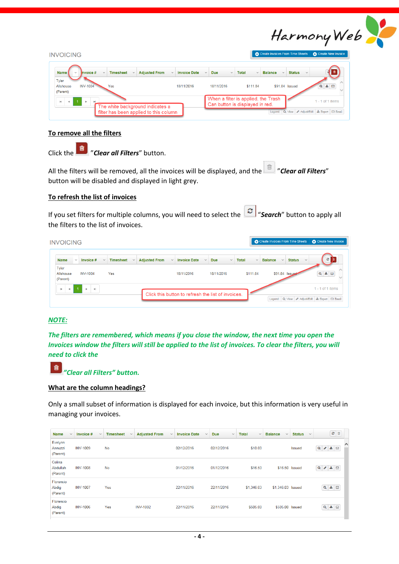

| <b>INVOICING</b>                                                                                               |                     |                                                                        |                       | Create Invoices From Time Sheets |               | Create New Invoice                        |
|----------------------------------------------------------------------------------------------------------------|---------------------|------------------------------------------------------------------------|-----------------------|----------------------------------|---------------|-------------------------------------------|
| <b>Name</b><br>Invoice #<br><b>Adjusted From</b><br><b>Timesheet</b><br>$\checkmark$<br>$\sim$<br>$\checkmark$ | <b>Invoice Date</b> | <b>Due</b><br>$\checkmark$<br>$\checkmark$                             | Total<br>$\checkmark$ | <b>Balance</b><br>$\checkmark$   | <b>Status</b> | $\checkmark$                              |
| Tyler<br><b>INV-1004</b><br>Yes<br>Allshouse<br>(Parent)                                                       | 18/11/2016          | 18/11/2016                                                             | \$111.84              | \$91.84 Issued                   |               | $Q \triangleq \Box$                       |
| $\mathbb{R}$<br>$\blacktriangleleft$<br>The white background indicates a                                       |                     | When a filter is applied, the Trash<br>Can button is displayed in red. |                       |                                  |               | $1 - 1$ of 1 items                        |
| filter has been applied to this column                                                                         |                     |                                                                        |                       | Legend:                          |               | Q: View Adjust/Edit   L: Export   M Email |

#### **To remove all the filters**

Click the "*Clear all Filters*" button.

All the filters will be removed, all the invoices will be displayed, and the **19 and** *Clear all Filters*" button will be disabled and displayed in light grey.

#### **To refresh the list of invoices**

If you set filters for multiple columns, you will need to select the "*Search*" button to apply all the filters to the list of invoices.

| <b>Adjusted From</b><br><b>Timesheet</b><br><b>Invoice Date</b><br><b>Name</b><br>Invoice #<br>$\checkmark$<br>$\checkmark$<br>$\sim$<br>$\checkmark$ | сI<br><b>Total</b><br><b>Balance</b><br><b>Status</b><br><b>Due</b><br>$\checkmark$<br>$\checkmark$<br>$\checkmark$<br>$\checkmark$<br>$\checkmark$ |
|-------------------------------------------------------------------------------------------------------------------------------------------------------|-----------------------------------------------------------------------------------------------------------------------------------------------------|
|                                                                                                                                                       |                                                                                                                                                     |
| Tyler<br>18/11/2016<br><b>INV-1004</b><br>Yes<br>Allshouse<br>(Parent)                                                                                | $Q \triangleq \boxtimes$<br>\$91.84 Issued<br>18/11/2016<br>\$111.84                                                                                |

#### *NOTE:*

*The filters are remembered, which means if you close the window, the next time you open the Invoices window the filters will still be applied to the list of invoices. To clear the filters, you will need to click the*



*"Clear all Filters" button.*

#### **What are the column headings?**

Only a small subset of information is displayed for each invoice, but this information is very useful in managing your invoices.

| <b>Name</b><br>$\checkmark$    | Invoice #<br>$\checkmark$ | <b>Timesheet</b><br>$\checkmark$ | <b>Adjusted From</b><br>$\checkmark$ | <b>Invoice Date</b><br>$\checkmark$ | <b>Due</b><br>$\checkmark$ | <b>Total</b><br>$\checkmark$ | <b>Balance</b><br>$\checkmark$ | <b>Status</b><br>$\checkmark$ | 2                              |
|--------------------------------|---------------------------|----------------------------------|--------------------------------------|-------------------------------------|----------------------------|------------------------------|--------------------------------|-------------------------------|--------------------------------|
| Evelynn<br>Annuzzi<br>(Parent) | <b>INV-1009</b>           | No                               |                                      | 02/12/2016                          | 02/12/2016                 | \$10.00                      |                                | <b>Issued</b>                 | $\wedge$<br>法<br>Q<br>$\Box$   |
| Celina<br>Abdullah<br>(Parent) | <b>INV-1008</b>           | <b>No</b>                        |                                      | 01/12/2016                          | 01/12/2016                 | \$16.50                      | \$16.50 Issued                 |                               | Q<br>$\frac{1}{2}$ $\boxtimes$ |
| Florencio<br>Abdig<br>(Parent) | <b>INV-1007</b>           | Yes                              |                                      | 22/11/2016                          | 22/11/2016                 | \$1.346.03                   | \$1,346.03 Issued              |                               | $Q \triangleq \Box$            |
| Florencio<br>Abdig<br>(Parent) | <b>INV-1006</b>           | Yes                              | <b>INV-1002</b>                      | 22/11/2016                          | 22/11/2016                 | \$505.00                     | \$505.00 Issued                |                               | $Q \triangleq Q$               |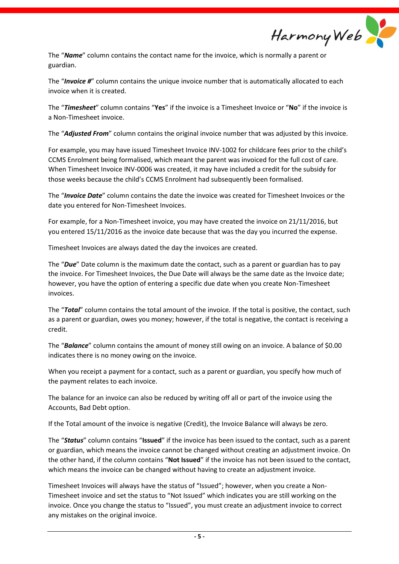Harmony Web

The "*Name*" column contains the contact name for the invoice, which is normally a parent or guardian.

The "*Invoice #*" column contains the unique invoice number that is automatically allocated to each invoice when it is created.

The "*Timesheet*" column contains "**Yes**" if the invoice is a Timesheet Invoice or "**No**" if the invoice is a Non-Timesheet invoice.

The "*Adjusted From*" column contains the original invoice number that was adjusted by this invoice.

For example, you may have issued Timesheet Invoice INV-1002 for childcare fees prior to the child's CCMS Enrolment being formalised, which meant the parent was invoiced for the full cost of care. When Timesheet Invoice INV-0006 was created, it may have included a credit for the subsidy for those weeks because the child's CCMS Enrolment had subsequently been formalised.

The "*Invoice Date*" column contains the date the invoice was created for Timesheet Invoices or the date you entered for Non-Timesheet Invoices.

For example, for a Non-Timesheet invoice, you may have created the invoice on 21/11/2016, but you entered 15/11/2016 as the invoice date because that was the day you incurred the expense.

Timesheet Invoices are always dated the day the invoices are created.

The "*Due*" Date column is the maximum date the contact, such as a parent or guardian has to pay the invoice. For Timesheet Invoices, the Due Date will always be the same date as the Invoice date; however, you have the option of entering a specific due date when you create Non-Timesheet invoices.

The "*Total*" column contains the total amount of the invoice. If the total is positive, the contact, such as a parent or guardian, owes you money; however, if the total is negative, the contact is receiving a credit.

The "*Balance*" column contains the amount of money still owing on an invoice. A balance of \$0.00 indicates there is no money owing on the invoice.

When you receipt a payment for a contact, such as a parent or guardian, you specify how much of the payment relates to each invoice.

The balance for an invoice can also be reduced by writing off all or part of the invoice using the Accounts, Bad Debt option.

If the Total amount of the invoice is negative (Credit), the Invoice Balance will always be zero.

The "*Status*" column contains "**Issued**" if the invoice has been issued to the contact, such as a parent or guardian, which means the invoice cannot be changed without creating an adjustment invoice. On the other hand, if the column contains "**Not Issued**" if the invoice has not been issued to the contact, which means the invoice can be changed without having to create an adjustment invoice.

Timesheet Invoices will always have the status of "Issued"; however, when you create a Non-Timesheet invoice and set the status to "Not Issued" which indicates you are still working on the invoice. Once you change the status to "Issued", you must create an adjustment invoice to correct any mistakes on the original invoice.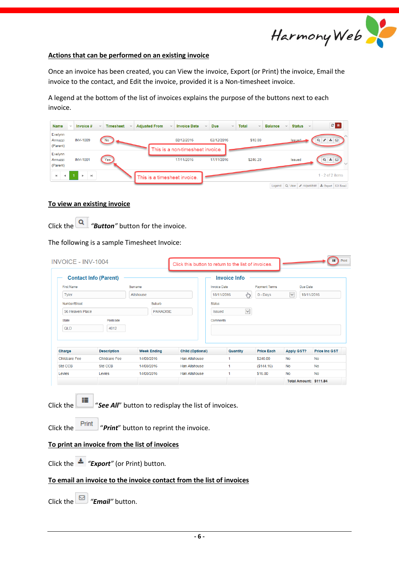

#### **Actions that can be performed on an existing invoice**

Once an invoice has been created, you can View the invoice, Export (or Print) the invoice, Email the invoice to the contact, and Edit the invoice, provided it is a Non-timesheet invoice.

A legend at the bottom of the list of invoices explains the purpose of the buttons next to each invoice.

| Name<br>$\checkmark$                 | Invoice #                   | <b>Timesheet</b><br>$\checkmark$<br>$\sim$ | <b>Adjusted From</b><br>$\checkmark$ | <b>Invoice Date</b>                            | <b>Due</b><br>$\vee$<br>$\checkmark$ | Total<br>$\checkmark$ | <b>Balance</b><br>$\checkmark$ | <b>Status</b><br>$\checkmark$ | $c$ $a$                |
|--------------------------------------|-----------------------------|--------------------------------------------|--------------------------------------|------------------------------------------------|--------------------------------------|-----------------------|--------------------------------|-------------------------------|------------------------|
| Evelynn<br>Annuzzi<br>(Parent)       | <b>INV-1009</b>             | <b>No</b>                                  |                                      | 02/12/2016                                     | 02/12/2016                           | \$10.00               |                                | <b>Issued</b>                 | $\frac{1}{2}$ $\sigma$ |
| Evelynn<br>Annuzzi<br>(Parent)       | <b>INV-1001</b>             | Yes                                        |                                      | This is a non-timesheet invoice.<br>17/11/2016 | 17/11/2016                           | \$246.20              |                                | <b>Issued</b>                 | 土日<br>Q                |
| $\mathbb{R}$<br>$\blacktriangleleft$ | $\blacktriangleright$<br>þ. |                                            | This is a timesheet invoice.         |                                                |                                      |                       |                                |                               | $1 - 2$ of 2 items     |

#### **To view an existing invoice**

Click the *"Button"* button for the invoice.

The following is a sample Timesheet Invoice:

|                                      | <b>Contact Info (Parent)</b> |                    |                                                                                               | <b>Invoice Info</b>           |                      |                            |                      |
|--------------------------------------|------------------------------|--------------------|-----------------------------------------------------------------------------------------------|-------------------------------|----------------------|----------------------------|----------------------|
| <b>First Name</b>                    |                              | <b>Surname</b>     |                                                                                               | <b>Invoice Date</b>           | <b>Payment Terms</b> | <b>Due Date</b>            |                      |
| <b>Tyler</b>                         |                              | <b>Allshouse</b>   |                                                                                               | لهها<br>18/11/2016            | $0 -$ Days           | $\checkmark$<br>18/11/2016 |                      |
| Number/Street                        |                              | Suburb             |                                                                                               | <b>Status</b>                 |                      |                            |                      |
| 56 Heaven Place                      |                              | <b>PARADISE</b>    |                                                                                               | $\checkmark$<br><b>Issued</b> |                      |                            |                      |
| <b>State</b>                         | Postcode                     |                    |                                                                                               | Comments                      |                      |                            |                      |
| QLD                                  | 4012                         |                    |                                                                                               |                               |                      |                            |                      |
|                                      |                              |                    |                                                                                               |                               |                      |                            |                      |
| Charge                               | <b>Description</b>           | <b>Week Ending</b> | <b>Child (Optional)</b>                                                                       | Quantity                      | <b>Price Each</b>    | <b>Apply GST?</b>          | <b>Price Inc GST</b> |
| <b>Childcare Fee</b>                 | <b>Childcare Fee</b>         | 14/08/2016         | <b>Han Allshouse</b>                                                                          | 1                             | \$240.00             | No                         | No                   |
| Std CCB                              | Std CCB                      | 14/08/2016         | <b>Han Allshouse</b>                                                                          | 1                             | (\$144.16)           | No                         | <b>No</b>            |
|                                      |                              |                    |                                                                                               |                               |                      |                            |                      |
| Levies                               | Levies                       | 14/08/2016         | <b>Han Allshouse</b>                                                                          | 1                             | \$16.00              | <b>No</b>                  | <b>No</b>            |
|                                      |                              |                    |                                                                                               |                               |                      | Total Amount: \$111.84     |                      |
| ⊫<br>Click the<br>Print<br>Click the |                              |                    | "See All" button to redisplay the list of invoices.<br>"Print" button to reprint the invoice. |                               |                      |                            |                      |

Click the *"Email"* button.